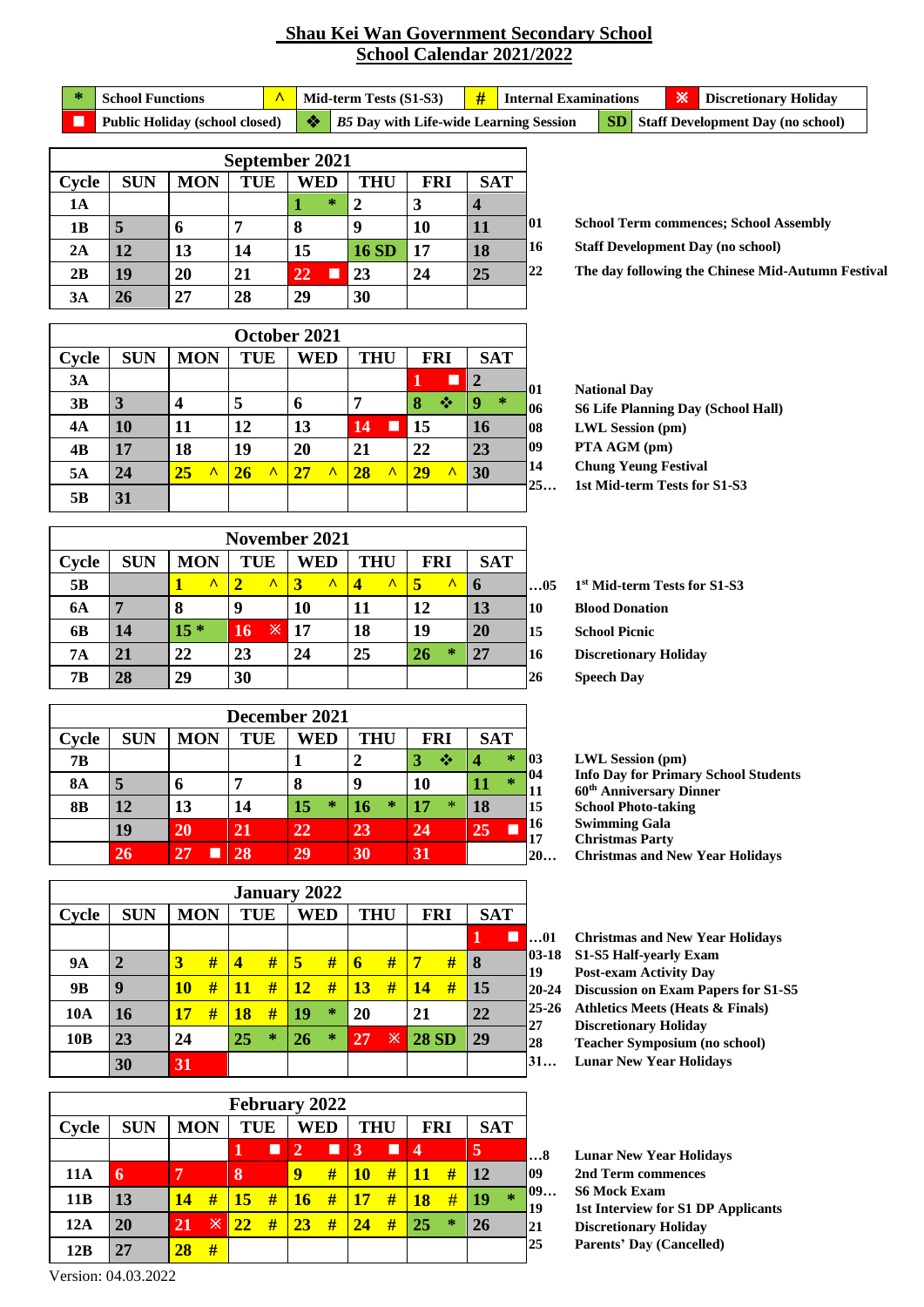## **Shau Kei Wan Government Secondary School School Calendar 2021/2022**

\* School Functions **1 ^** Mid-term Tests (S1-S3) **#** Internal Examinations **X** Discretionary Holiday **Public Holiday (school closed)** ♦ *B5* **Day with Life-wide Learning Session SD** Staff Development Day (no school)

| September 2021 |            |            |            |                 |               |            |            |     |  |  |  |  |
|----------------|------------|------------|------------|-----------------|---------------|------------|------------|-----|--|--|--|--|
| Cycle          | <b>SUN</b> | <b>MON</b> | <b>TUE</b> | WED             | <b>THU</b>    | <b>FRI</b> | <b>SAT</b> |     |  |  |  |  |
| 1A             |            |            |            | $\ast$          | $\mathcal{D}$ | 3          |            |     |  |  |  |  |
| 1B             | 5          | 6          |            | 8               | 9             | 10         | 11         | 101 |  |  |  |  |
| 2A             | 12         | 13         | 14         | 15              | <b>16 SD</b>  | <b>17</b>  | 18         | 16  |  |  |  |  |
| 2B             | 19         | 20         | 21         | 22<br><b>TI</b> | 23            | 24         | 25         | 22  |  |  |  |  |
| 3A             | 26         | 27         | 28         | 29              | 30            |            |            |     |  |  |  |  |

**School Term commences; School Assembly**

**Staff Development Day (no school)**

**The day following the Chinese Mid-Autumn Festival**

|       |                                                                                         |                              |                 | October 2021                |                               |                 |                      |  |  |  |  |
|-------|-----------------------------------------------------------------------------------------|------------------------------|-----------------|-----------------------------|-------------------------------|-----------------|----------------------|--|--|--|--|
| Cycle | <b>MON</b><br><b>SAT</b><br><b>THU</b><br><b>SUN</b><br><b>TUE</b><br>WED<br><b>FRI</b> |                              |                 |                             |                               |                 |                      |  |  |  |  |
| 3A    |                                                                                         |                              |                 |                             |                               | П               | $\overline{2}$<br>01 |  |  |  |  |
| 3B    | 3                                                                                       | 4                            | 5               | 6                           | 7                             | 8<br>❖          | $\ast$<br>9<br>06    |  |  |  |  |
| 4A    | 10                                                                                      | 11                           | 12              | 13                          | 14<br>ш                       | 15              | 16<br>108            |  |  |  |  |
| 4B    | 17                                                                                      | 18                           | 19              | 20                          | 21                            | 22              | 09<br>23             |  |  |  |  |
| 5A    | 24                                                                                      | $\boldsymbol{\Lambda}$<br>25 | $\lambda$<br>26 | $\boldsymbol{\wedge}$<br>27 | $\overline{\mathbf{A}}$<br>28 | $\Lambda$<br>29 | 30                   |  |  |  |  |
| 5B    | 31                                                                                      |                              |                 |                             |                               |                 |                      |  |  |  |  |

**National Day S6 Life Planning Day (School Hall) LWL Session (pm) PTA AGM (pm) Chung Yeung Festival 1st Mid-term Tests for S1-S3**

|                |            |                        | November 2021            |                            |            |                |             |    |
|----------------|------------|------------------------|--------------------------|----------------------------|------------|----------------|-------------|----|
| Cycle          | <b>SUN</b> | <b>MON</b>             | <b>TUE</b>               | WED                        | <b>THU</b> | <b>FRI</b>     | <b>SAT</b>  |    |
| 5 <sub>B</sub> |            | $\boldsymbol{\Lambda}$ | $\overline{\phantom{a}}$ | $\boldsymbol{\wedge}$<br>3 | Λ<br>4     | 5<br>$\Lambda$ | $\mathbf b$ | 05 |
| <b>6A</b>      |            | 8                      | q                        | 10                         | 11         | 12             | 13          | 10 |
| 6B             | 14         | $15*$                  | 16                       | $\mathbb{X}$ 17            | 18         | 19             | 20          | 15 |
| <b>7A</b>      | 21         | 22                     | 23                       | 24                         | 25         | $\ast$<br>26   | 27          | 16 |
| 7B             | 28         | 29                     | 30                       |                            |            |                |             | 26 |

**1 st Mid-term Tests for S1-S3 Blood Donation School Picnic Discretionary Holiday Speech Day**

|           |                                                                                         |         |    | December 2021 |              |              |                           |  |  |  |  |  |
|-----------|-----------------------------------------------------------------------------------------|---------|----|---------------|--------------|--------------|---------------------------|--|--|--|--|--|
| Cycle     | <b>MON</b><br><b>SAT</b><br><b>SUN</b><br><b>TUE</b><br>WED<br><b>THU</b><br><b>FRI</b> |         |    |               |              |              |                           |  |  |  |  |  |
| 7B        |                                                                                         |         |    |               |              | ≪            | 字<br>03                   |  |  |  |  |  |
| <b>8A</b> | 5                                                                                       | o       |    | 8             | 9            | <b>10</b>    | 04<br>$\star$<br>11<br>11 |  |  |  |  |  |
| <b>8B</b> | 12                                                                                      | 13      | 14 | $\ast$<br>15  | $\ast$<br>16 | $\ast$<br>17 | 18<br>15                  |  |  |  |  |  |
|           | 19                                                                                      | 20      | 21 | 22            | 23           | 24           | 16<br>25<br>17            |  |  |  |  |  |
|           | 26                                                                                      | 27<br>L | 28 | 29            | 30           | 31           | 20                        |  |  |  |  |  |

|                 |              |            |   |            |        | <b>January 2022</b> |        |            |   |              |   |            |  |
|-----------------|--------------|------------|---|------------|--------|---------------------|--------|------------|---|--------------|---|------------|--|
| Cycle           | <b>SUN</b>   | <b>MON</b> |   | <b>TUE</b> |        | <b>WED</b>          |        | <b>THU</b> |   | <b>FRI</b>   |   | <b>SAT</b> |  |
|                 |              |            |   |            |        |                     |        |            |   |              |   | П          |  |
| <b>9A</b>       | $\mathbf{2}$ | 3          | # | 4          | #      | 5                   | #      | 6          | # | 7            | # | 8          |  |
| 9 <sub>B</sub>  | 9            | <b>10</b>  | # | 11         | #      | 12                  | #      | 13         | # | 14           | # | 15         |  |
| <b>10A</b>      | <b>16</b>    | <b>17</b>  | # | 18         | #      | 19                  | $\ast$ | 20         |   | 21           |   | 22         |  |
| 10 <sub>B</sub> | 23           | 24         |   | 25         | $\ast$ | 26                  | $\ast$ | 27         | ※ | <b>28 SD</b> |   | 29         |  |
|                 | 30           | 31         |   |            |        |                     |        |            |   |              |   |            |  |

|            |            |            |    | February 2022   |   |                |     |           |            |                         |            |            |         |
|------------|------------|------------|----|-----------------|---|----------------|-----|-----------|------------|-------------------------|------------|------------|---------|
| Cycle      | <b>SUN</b> | <b>MON</b> |    | <b>TUE</b>      |   |                | WED |           | <b>THU</b> |                         | <b>FRI</b> | <b>SAT</b> |         |
|            |            |            |    |                 | П | $\overline{2}$ | п   | 3         | П          | $\overline{\mathbf{4}}$ |            | 5          |         |
| <b>11A</b> | 6          | 7          |    | 8               |   | $\mathbf Q$    | #   | <b>10</b> | #          | 11                      | #          | 12         |         |
| 11B        | 13         | 14         | #  | $\overline{15}$ | # | <b>16</b>      | #   | 17        | #          | 18                      | #          | 19         | $\star$ |
| 12A        | 20         | 21         | Ж. | 22              | # | 23             | #   | 24        | #          | 25                      | $\ast$     | 26         |         |
| 12B        | 27         | 28         | #  |                 |   |                |     |           |            |                         |            |            |         |

**LWL Session (pm) Info Day for Primary School Students 60th Anniversary Dinner School Photo-taking Swimming Gala Christmas Party Christmas and New Year Holidays**

**…01 Christmas and New Year Holidays**

- **03-18 S1-S5 Half-yearly Exam**
	- **Post-exam Activity Day**
- **20-24 Discussion on Exam Papers for S1-S5**
- **25-26 Athletics Meets (Heats & Finals)**
	- **Discretionary Holiday**
	- **Teacher Symposium (no school) Lunar New Year Holidays**

**Lunar New Year Holidays 2nd Term commences S6 Mock Exam 1st Interview for S1 DP Applicants Discretionary Holiday**

**Parents' Day (Cancelled)**

Version: 04.03.2022